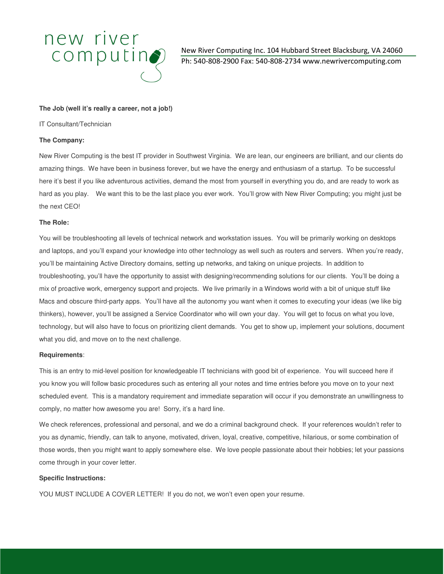# new river  $computin<sub>2</sub>$

New River Computing Inc. 104 Hubbard Street Blacksburg, VA 24060 Ph: 540-808-2900 Fax: 540-808-2734 www.newrivercomputing.com

## **The Job (well it's really a career, not a job!)**

IT Consultant/Technician

## **The Company:**

New River Computing is the best IT provider in Southwest Virginia. We are lean, our engineers are brilliant, and our clients do amazing things. We have been in business forever, but we have the energy and enthusiasm of a startup. To be successful here it's best if you like adventurous activities, demand the most from yourself in everything you do, and are ready to work as hard as you play. We want this to be the last place you ever work. You'll grow with New River Computing; you might just be the next CEO!

### **The Role:**

You will be troubleshooting all levels of technical network and workstation issues. You will be primarily working on desktops and laptops, and you'll expand your knowledge into other technology as well such as routers and servers. When you're ready, you'll be maintaining Active Directory domains, setting up networks, and taking on unique projects. In addition to troubleshooting, you'll have the opportunity to assist with designing/recommending solutions for our clients. You'll be doing a mix of proactive work, emergency support and projects. We live primarily in a Windows world with a bit of unique stuff like Macs and obscure third-party apps. You'll have all the autonomy you want when it comes to executing your ideas (we like big thinkers), however, you'll be assigned a Service Coordinator who will own your day. You will get to focus on what you love, technology, but will also have to focus on prioritizing client demands. You get to show up, implement your solutions, document what you did, and move on to the next challenge.

### **Requirements**:

This is an entry to mid-level position for knowledgeable IT technicians with good bit of experience. You will succeed here if you know you will follow basic procedures such as entering all your notes and time entries before you move on to your next scheduled event. This is a mandatory requirement and immediate separation will occur if you demonstrate an unwillingness to comply, no matter how awesome you are! Sorry, it's a hard line.

We check references, professional and personal, and we do a criminal background check. If your references wouldn't refer to you as dynamic, friendly, can talk to anyone, motivated, driven, loyal, creative, competitive, hilarious, or some combination of those words, then you might want to apply somewhere else. We love people passionate about their hobbies; let your passions come through in your cover letter.

### **Specific Instructions:**

YOU MUST INCLUDE A COVER LETTER! If you do not, we won't even open your resume.